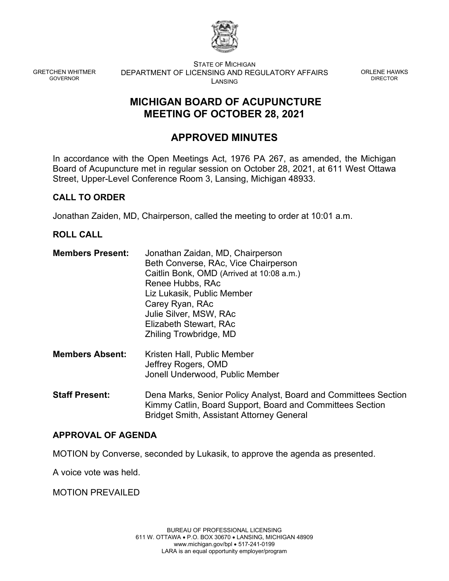

GRETCHEN WHITMER GOVERNOR

STATE OF MICHIGAN DEPARTMENT OF LICENSING AND REGULATORY AFFAIRS LANSING

ORLENE HAWKS DIRECTOR

# **MICHIGAN BOARD OF ACUPUNCTURE MEETING OF OCTOBER 28, 2021**

# **APPROVED MINUTES**

In accordance with the Open Meetings Act, 1976 PA 267, as amended, the Michigan Board of Acupuncture met in regular session on October 28, 2021, at 611 West Ottawa Street, Upper-Level Conference Room 3, Lansing, Michigan 48933.

## **CALL TO ORDER**

Jonathan Zaiden, MD, Chairperson, called the meeting to order at 10:01 a.m.

## **ROLL CALL**

| <b>Members Present:</b> | Jonathan Zaidan, MD, Chairperson          |
|-------------------------|-------------------------------------------|
|                         | Beth Converse, RAc, Vice Chairperson      |
|                         | Caitlin Bonk, OMD (Arrived at 10:08 a.m.) |
|                         | Renee Hubbs, RAc                          |
|                         | Liz Lukasik, Public Member                |
|                         | Carey Ryan, RAc                           |
|                         | Julie Silver, MSW, RAc                    |
|                         | Elizabeth Stewart, RAc                    |
|                         | Zhiling Trowbridge, MD                    |
|                         |                                           |

- **Members Absent:** Kristen Hall, Public Member Jeffrey Rogers, OMD Jonell Underwood, Public Member
- **Staff Present:** Dena Marks, Senior Policy Analyst, Board and Committees Section Kimmy Catlin, Board Support, Board and Committees Section Bridget Smith, Assistant Attorney General

## **APPROVAL OF AGENDA**

MOTION by Converse, seconded by Lukasik, to approve the agenda as presented.

A voice vote was held.

MOTION PREVAILED

BUREAU OF PROFESSIONAL LICENSING 611 W. OTTAWA • P.O. BOX 30670 • LANSING, MICHIGAN 48909 www.michigan.gov/bpl • 517-241-0199 LARA is an equal opportunity employer/program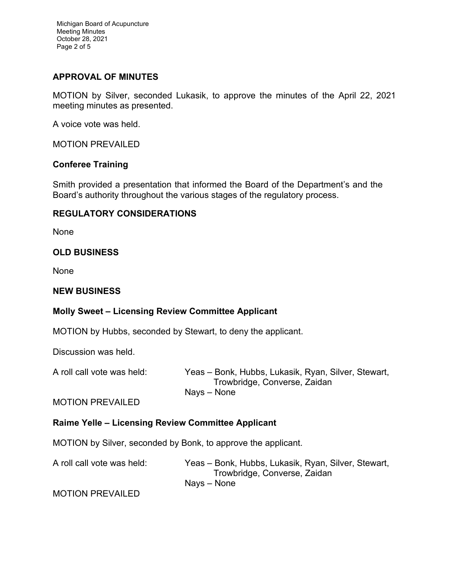Michigan Board of Acupuncture Meeting Minutes October 28, 2021 Page 2 of 5

### **APPROVAL OF MINUTES**

MOTION by Silver, seconded Lukasik, to approve the minutes of the April 22, 2021 meeting minutes as presented.

A voice vote was held.

MOTION PREVAILED

#### **Conferee Training**

Smith provided a presentation that informed the Board of the Department's and the Board's authority throughout the various stages of the regulatory process.

#### **REGULATORY CONSIDERATIONS**

None

## **OLD BUSINESS**

None

#### **NEW BUSINESS**

#### **Molly Sweet – Licensing Review Committee Applicant**

MOTION by Hubbs, seconded by Stewart, to deny the applicant.

Discussion was held.

| A roll call vote was held: | Yeas – Bonk, Hubbs, Lukasik, Ryan, Silver, Stewart, |
|----------------------------|-----------------------------------------------------|
|                            | Trowbridge, Converse, Zaidan                        |
|                            | Nays – None                                         |

#### MOTION PREVAILED

#### **Raime Yelle – Licensing Review Committee Applicant**

MOTION by Silver, seconded by Bonk, to approve the applicant.

A roll call vote was held: Yeas – Bonk, Hubbs, Lukasik, Ryan, Silver, Stewart, Trowbridge, Converse, Zaidan Nays – None

MOTION PREVAILED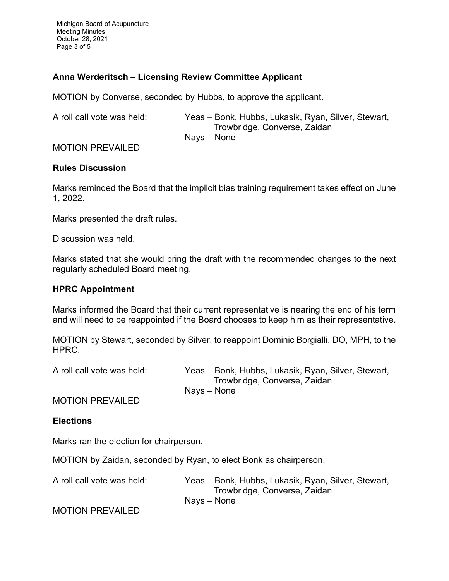Michigan Board of Acupuncture Meeting Minutes October 28, 2021 Page 3 of 5

## **Anna Werderitsch – Licensing Review Committee Applicant**

MOTION by Converse, seconded by Hubbs, to approve the applicant.

A roll call vote was held: Yeas – Bonk, Hubbs, Lukasik, Ryan, Silver, Stewart, Trowbridge, Converse, Zaidan Nays – None

#### MOTION PREVAILED

#### **Rules Discussion**

Marks reminded the Board that the implicit bias training requirement takes effect on June 1, 2022.

Marks presented the draft rules.

Discussion was held.

Marks stated that she would bring the draft with the recommended changes to the next regularly scheduled Board meeting.

#### **HPRC Appointment**

Marks informed the Board that their current representative is nearing the end of his term and will need to be reappointed if the Board chooses to keep him as their representative.

MOTION by Stewart, seconded by Silver, to reappoint Dominic Borgialli, DO, MPH, to the HPRC.

A roll call vote was held: Yeas – Bonk, Hubbs, Lukasik, Ryan, Silver, Stewart, Trowbridge, Converse, Zaidan Nays – None

MOTION PREVAILED

#### **Elections**

Marks ran the election for chairperson.

MOTION by Zaidan, seconded by Ryan, to elect Bonk as chairperson.

A roll call vote was held: Yeas – Bonk, Hubbs, Lukasik, Ryan, Silver, Stewart, Trowbridge, Converse, Zaidan Nays – None

MOTION PREVAILED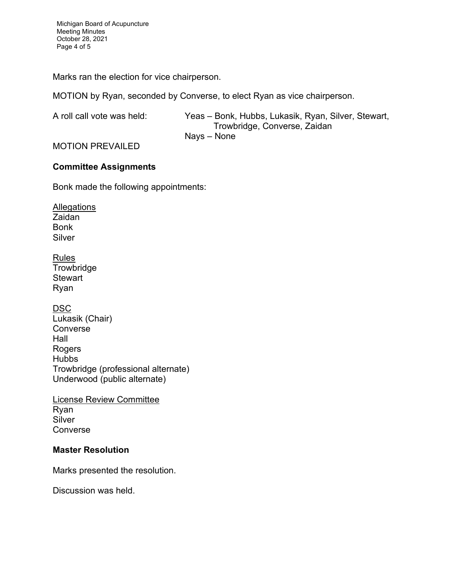Michigan Board of Acupuncture Meeting Minutes October 28, 2021 Page 4 of 5

Marks ran the election for vice chairperson.

MOTION by Ryan, seconded by Converse, to elect Ryan as vice chairperson.

A roll call vote was held: Yeas – Bonk, Hubbs, Lukasik, Ryan, Silver, Stewart, Trowbridge, Converse, Zaidan Nays – None

MOTION PREVAILED

## **Committee Assignments**

Bonk made the following appointments:

**Allegations** Zaidan Bonk **Silver** 

Rules **Trowbridge Stewart** Ryan

DSC

Lukasik (Chair) Converse Hall Rogers **Hubbs** Trowbridge (professional alternate) Underwood (public alternate)

License Review Committee Ryan **Silver** Converse

## **Master Resolution**

Marks presented the resolution.

Discussion was held.